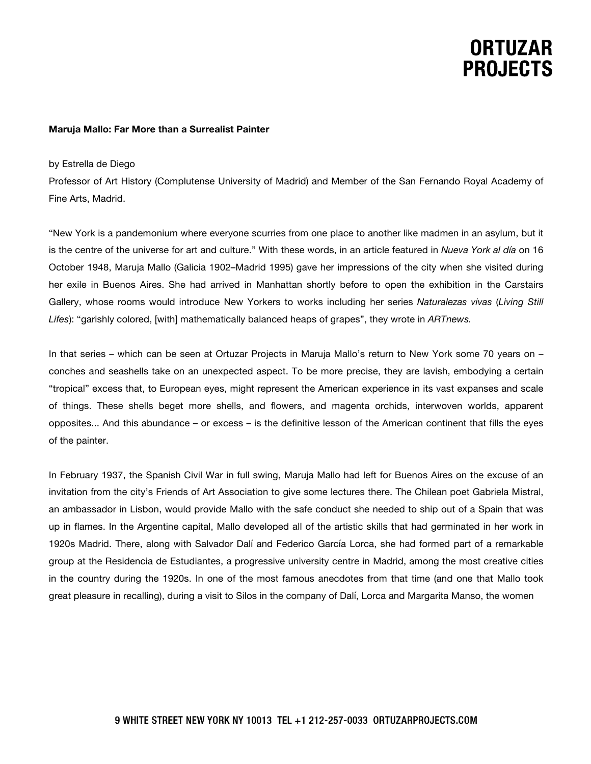# **ORTUZAR PROJECTS**

#### **Maruja Mallo: Far More than a Surrealist Painter**

#### by Estrella de Diego

Professor of Art History (Complutense University of Madrid) and Member of the San Fernando Royal Academy of Fine Arts, Madrid.

"New York is a pandemonium where everyone scurries from one place to another like madmen in an asylum, but it is the centre of the universe for art and culture." With these words, in an article featured in *Nueva York al día* on 16 October 1948, Maruja Mallo (Galicia 1902–Madrid 1995) gave her impressions of the city when she visited during her exile in Buenos Aires. She had arrived in Manhattan shortly before to open the exhibition in the Carstairs Gallery, whose rooms would introduce New Yorkers to works including her series *Naturalezas vivas* (*Living Still Lifes*): "garishly colored, [with] mathematically balanced heaps of grapes", they wrote in *ARTnews.*

In that series – which can be seen at Ortuzar Projects in Maruja Mallo's return to New York some 70 years on – conches and seashells take on an unexpected aspect. To be more precise, they are lavish, embodying a certain "tropical" excess that, to European eyes, might represent the American experience in its vast expanses and scale of things. These shells beget more shells, and flowers, and magenta orchids, interwoven worlds, apparent opposites... And this abundance – or excess – is the definitive lesson of the American continent that fills the eyes of the painter.

In February 1937, the Spanish Civil War in full swing, Maruja Mallo had left for Buenos Aires on the excuse of an invitation from the city's Friends of Art Association to give some lectures there. The Chilean poet Gabriela Mistral, an ambassador in Lisbon, would provide Mallo with the safe conduct she needed to ship out of a Spain that was up in flames. In the Argentine capital, Mallo developed all of the artistic skills that had germinated in her work in 1920s Madrid. There, along with Salvador Dalí and Federico García Lorca, she had formed part of a remarkable group at the Residencia de Estudiantes, a progressive university centre in Madrid, among the most creative cities in the country during the 1920s. In one of the most famous anecdotes from that time (and one that Mallo took great pleasure in recalling), during a visit to Silos in the company of Dalí, Lorca and Margarita Manso, the women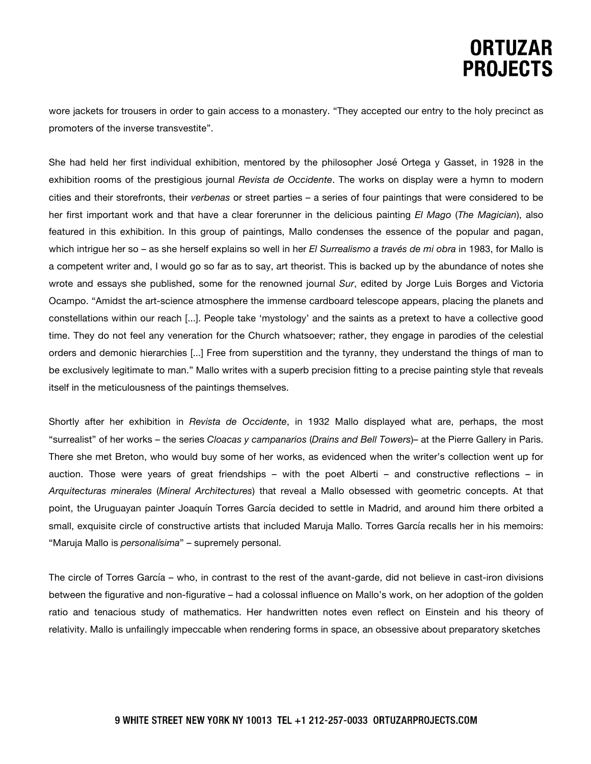# **ORTUZAR PROJECTS**

wore jackets for trousers in order to gain access to a monastery. "They accepted our entry to the holy precinct as promoters of the inverse transvestite".

She had held her first individual exhibition, mentored by the philosopher José Ortega y Gasset, in 1928 in the exhibition rooms of the prestigious journal *Revista de Occidente*. The works on display were a hymn to modern cities and their storefronts, their *verbenas* or street parties – a series of four paintings that were considered to be her first important work and that have a clear forerunner in the delicious painting *El Mago* (*The Magician*), also featured in this exhibition. In this group of paintings, Mallo condenses the essence of the popular and pagan, which intrigue her so – as she herself explains so well in her *El Surrealismo a través de mi obra* in 1983, for Mallo is a competent writer and, I would go so far as to say, art theorist. This is backed up by the abundance of notes she wrote and essays she published, some for the renowned journal *Sur*, edited by Jorge Luis Borges and Victoria Ocampo. "Amidst the art-science atmosphere the immense cardboard telescope appears, placing the planets and constellations within our reach [...]. People take 'mystology' and the saints as a pretext to have a collective good time. They do not feel any veneration for the Church whatsoever; rather, they engage in parodies of the celestial orders and demonic hierarchies [...] Free from superstition and the tyranny, they understand the things of man to be exclusively legitimate to man." Mallo writes with a superb precision fitting to a precise painting style that reveals itself in the meticulousness of the paintings themselves.

Shortly after her exhibition in *Revista de Occidente*, in 1932 Mallo displayed what are, perhaps, the most "surrealist" of her works – the series *Cloacas y campanarios* (*Drains and Bell Towers*)– at the Pierre Gallery in Paris. There she met Breton, who would buy some of her works, as evidenced when the writer's collection went up for auction. Those were years of great friendships – with the poet Alberti – and constructive reflections – in *Arquitecturas minerales* (*Mineral Architectures*) that reveal a Mallo obsessed with geometric concepts. At that point, the Uruguayan painter Joaquín Torres García decided to settle in Madrid, and around him there orbited a small, exquisite circle of constructive artists that included Maruja Mallo. Torres García recalls her in his memoirs: "Maruja Mallo is *personalísima*" – supremely personal.

The circle of Torres García – who, in contrast to the rest of the avant-garde, did not believe in cast-iron divisions between the figurative and non-figurative – had a colossal influence on Mallo's work, on her adoption of the golden ratio and tenacious study of mathematics. Her handwritten notes even reflect on Einstein and his theory of relativity. Mallo is unfailingly impeccable when rendering forms in space, an obsessive about preparatory sketches